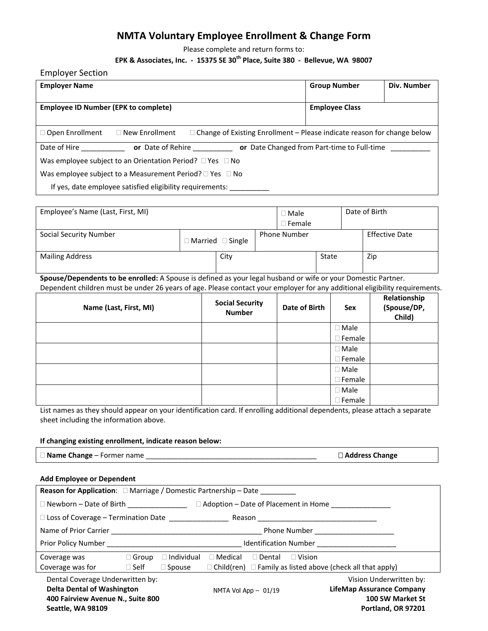# **NMTA Voluntary Employee Enrollment & Change Form**

Please complete and return forms to:

### **EPK & Associates, Inc. ‐ 15375 SE 30th Place, Suite 380 ‐ Bellevue, WA 98007**

Employer Section

| <b>Employer Name</b>                                                             |                       |                                                                                | <b>Group Number</b>   | Div. Number |  |
|----------------------------------------------------------------------------------|-----------------------|--------------------------------------------------------------------------------|-----------------------|-------------|--|
|                                                                                  |                       |                                                                                |                       |             |  |
| <b>Employee ID Number (EPK to complete)</b>                                      |                       |                                                                                | <b>Employee Class</b> |             |  |
|                                                                                  |                       |                                                                                |                       |             |  |
| $\Box$ Open Enrollment                                                           | $\Box$ New Enrollment | $\Box$ Change of Existing Enrollment – Please indicate reason for change below |                       |             |  |
| Date of Hire<br>or Date of Rehire<br>or Date Changed from Part-time to Full-time |                       |                                                                                |                       |             |  |
| Was employee subject to an Orientation Period? $\Box$ Yes $\Box$ No              |                       |                                                                                |                       |             |  |
| Was employee subject to a Measurement Period? $\Box$ Yes $\Box$ No               |                       |                                                                                |                       |             |  |
| If yes, date employee satisfied eligibility requirements:                        |                       |                                                                                |                       |             |  |

| Employee's Name (Last, First, MI) |  |                                 | $\Box$ Male<br>$\Box$ Female |       | Date of Birth |                       |
|-----------------------------------|--|---------------------------------|------------------------------|-------|---------------|-----------------------|
| <b>Social Security Number</b>     |  | $\exists$ Married $\Box$ Single | <b>Phone Number</b>          |       |               | <b>Effective Date</b> |
| <b>Mailing Address</b>            |  | City                            |                              | State |               | Zip                   |

**Spouse/Dependents to be enrolled:** A Spouse is defined as your legal husband or wife or your Domestic Partner. Dependent children must be under 26 years of age. Please contact your employer for any additional eligibility requirements.

| Name (Last, First, MI) | <b>Social Security</b><br><b>Number</b> | Date of Birth | Sex              | Relationship<br>(Spouse/DP,<br>Child) |
|------------------------|-----------------------------------------|---------------|------------------|---------------------------------------|
|                        |                                         |               | $\Box$ Male      |                                       |
|                        |                                         |               | $\Box$ Female    |                                       |
|                        |                                         |               | $\Box$ Male      |                                       |
|                        |                                         |               | $\Box$ Female    |                                       |
|                        |                                         |               | $\Box$ Male      |                                       |
|                        |                                         |               | $\Box$ Female    |                                       |
|                        |                                         |               | $\Box$ Male      |                                       |
|                        |                                         |               | $\square$ Female |                                       |

List names as they should appear on your identification card. If enrolling additional dependents, please attach a separate sheet including the information above.

 $\Box$  Address Change

#### **If changing existing enrollment, indicate reason below:**

|  |  | Name Change - Former name |  |
|--|--|---------------------------|--|
|--|--|---------------------------|--|

#### **Add Employee or Dependent**

| <b>Reason for Application:</b> □ Marriage / Domestic Partnership - Date _________        |                                                                                                                                                                                                                                |                   |                        |               |                  |                                                                        |
|------------------------------------------------------------------------------------------|--------------------------------------------------------------------------------------------------------------------------------------------------------------------------------------------------------------------------------|-------------------|------------------------|---------------|------------------|------------------------------------------------------------------------|
| $\Box$ Newborn – Date of Birth $\Box$ $\Box$ Adoption – Date of Placement in Home $\Box$ |                                                                                                                                                                                                                                |                   |                        |               |                  |                                                                        |
| □ Loss of Coverage - Termination Date ________________<br>Reason                         |                                                                                                                                                                                                                                |                   |                        |               |                  |                                                                        |
|                                                                                          | <b>Phone Number Example 20</b>                                                                                                                                                                                                 |                   |                        |               |                  |                                                                        |
|                                                                                          | Identification Number and the control of the control of the control of the control of the control of the control of the control of the control of the control of the control of the control of the control of the control of t |                   |                        |               |                  |                                                                        |
| Coverage was                                                                             | $\Box$ Group                                                                                                                                                                                                                   | $\Box$ Individual | $\Box$ Medical         | $\Box$ Dental | $\Box$ Vision    |                                                                        |
| Coverage was for $\square$ Self                                                          |                                                                                                                                                                                                                                | $\square$ Spouse  |                        |               |                  | $\Box$ Child(ren) $\Box$ Family as listed above (check all that apply) |
| Dental Coverage Underwritten by:<br>Vision Underwritten by:                              |                                                                                                                                                                                                                                |                   |                        |               |                  |                                                                        |
| <b>Delta Dental of Washington</b>                                                        |                                                                                                                                                                                                                                |                   | NMTA Vol App $-$ 01/19 |               |                  | LifeMap Assurance Company                                              |
| 400 Fairview Avenue N., Suite 800                                                        |                                                                                                                                                                                                                                |                   |                        |               | 100 SW Market St |                                                                        |
| <b>Seattle, WA 98109</b>                                                                 |                                                                                                                                                                                                                                |                   |                        |               |                  | Portland, OR 97201                                                     |